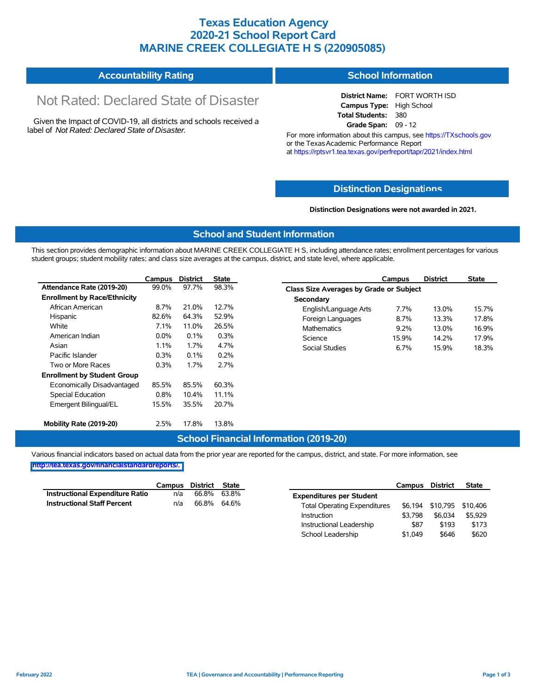### **Texas Education Agency 2020-21 School Report Card MARINE CREEK COLLEGIATE H S (220905085)**

#### **Accountability Rating School Information**

# Not Rated: Declared State of Disaster

Given the Impact of COVID-19, all districts and schools received a label of *Not Rated: Declared State of Disaster.*

**District Name:** FORT WORTH ISD **Campus Type:** High School **Total Students:** 380 **Grade Span:** 09 - 12

For more information about this campus, see https://TXschools.gov or the Texas Academic Performance Report at https://rptsvr1.tea.texas.gov/perfreport/tapr/2021/index.html

#### **Distinction Designat[ions](https://TXschools.gov)**

**Distinction Designations were not awarded in 2021.**

School Leadership  $$1,049$  \$646 \$620

#### **School and Student Information**

This section provides demographic information about MARINE CREEK COLLEGIATE H S, including attendance rates; enrollment percentages for various student groups; student mobility rates; and class size averages at the campus, district, and state level, where applicable.

|                                     | Campus | <b>District</b> | <b>State</b> | Campus                        | <b>District</b>                         | <b>State</b> |  |  |  |  |  |
|-------------------------------------|--------|-----------------|--------------|-------------------------------|-----------------------------------------|--------------|--|--|--|--|--|
| Attendance Rate (2019-20)           | 99.0%  | 97.7%           | 98.3%        |                               | Class Size Averages by Grade or Subject |              |  |  |  |  |  |
| <b>Enrollment by Race/Ethnicity</b> |        |                 |              | Secondary                     |                                         |              |  |  |  |  |  |
| African American                    | 8.7%   | 21.0%           | 12.7%        | English/Language Arts<br>7.7% | 13.0%                                   | 15.7%        |  |  |  |  |  |
| Hispanic                            | 82.6%  | 64.3%           | 52.9%        | 8.7%<br>Foreign Languages     | 13.3%                                   | 17.8%        |  |  |  |  |  |
| White                               | 7.1%   | 11.0%           | 26.5%        | <b>Mathematics</b><br>9.2%    | 13.0%                                   | 16.9%        |  |  |  |  |  |
| American Indian                     | 0.0%   | 0.1%            | 0.3%         | 15.9%<br>Science              | 14.2%                                   | 17.9%        |  |  |  |  |  |
| Asian                               | 1.1%   | 1.7%            | 4.7%         | <b>Social Studies</b><br>6.7% | 15.9%                                   | 18.3%        |  |  |  |  |  |
| Pacific Islander                    | 0.3%   | $0.1\%$         | 0.2%         |                               |                                         |              |  |  |  |  |  |
| Two or More Races                   | 0.3%   | 1.7%            | 2.7%         |                               |                                         |              |  |  |  |  |  |
| <b>Enrollment by Student Group</b>  |        |                 |              |                               |                                         |              |  |  |  |  |  |
| Economically Disadvantaged          | 85.5%  | 85.5%           | 60.3%        |                               |                                         |              |  |  |  |  |  |
| Special Education                   | 0.8%   | 10.4%           | 11.1%        |                               |                                         |              |  |  |  |  |  |
| Emergent Bilingual/EL               | 15.5%  | 35.5%           | 20.7%        |                               |                                         |              |  |  |  |  |  |
| Mobility Rate (2019-20)             | 2.5%   | 17.8%           | 13.8%        |                               |                                         |              |  |  |  |  |  |

#### **School Financial Information (2019-20)**

Various financial indicators based on actual data from the prior year are reported for the campus, district, and state. For more information, see

**[http://tea.texas.gov/financialstandardreports/.](http://tea.texas.gov/financialstandardreports/)**

|                                        | Campus | District State |       |                                     | Campus  | <b>District</b>           | <b>State</b> |
|----------------------------------------|--------|----------------|-------|-------------------------------------|---------|---------------------------|--------------|
| <b>Instructional Expenditure Ratio</b> | n/a    | 66.8%          | 63.8% | <b>Expenditures per Student</b>     |         |                           |              |
| <b>Instructional Staff Percent</b>     | n/a    | 66.8%          | 64.6% | <b>Total Operating Expenditures</b> |         | \$6,194 \$10,795 \$10,406 |              |
|                                        |        |                |       | Instruction                         | \$3.798 | \$6.034                   | \$5.929      |
|                                        |        |                |       | Instructional Leadership            | \$87    | \$193                     | \$173        |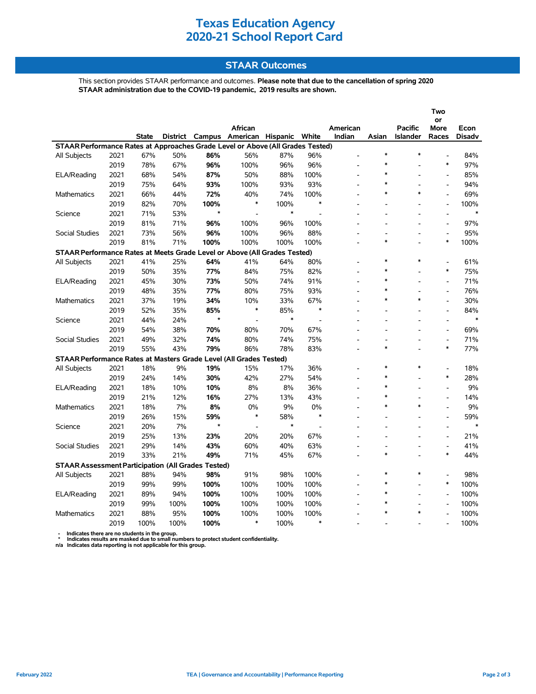## **Texas Education Agency 2020-21 School Report Card**

#### **STAAR Outcomes**

This section provides STAAR performance and outcomes. **Please note that due to the cancellation of spring 2020 STAAR administration due to the COVID-19 pandemic, 2019 results are shown.**

|                                                                                                    |      |       |                 |         |                   |        |                |                |        |          | Two                      |               |
|----------------------------------------------------------------------------------------------------|------|-------|-----------------|---------|-------------------|--------|----------------|----------------|--------|----------|--------------------------|---------------|
|                                                                                                    |      |       |                 |         |                   |        |                |                |        |          | or                       |               |
|                                                                                                    |      |       |                 |         | African           |        |                | American       |        | Pacific  | More                     | Econ          |
|                                                                                                    |      | State | <b>District</b> | Campus  | American Hispanic |        | White          | Indian         | Asian  | Islander | Races                    | <b>Disadv</b> |
| STAAR Performance Rates at Approaches Grade Level or Above (All Grades Tested)<br>$\ast$<br>$\ast$ |      |       |                 |         |                   |        |                |                |        |          |                          |               |
| All Subjects                                                                                       | 2021 | 67%   | 50%             | 86%     | 56%               | 87%    | 96%            |                | $\ast$ |          |                          | 84%           |
|                                                                                                    | 2019 | 78%   | 67%             | 96%     | 100%              | 96%    | 96%            |                |        |          | $\ast$                   | 97%           |
| ELA/Reading                                                                                        | 2021 | 68%   | 54%             | 87%     | 50%               | 88%    | 100%           |                | $\ast$ |          | $\overline{a}$           | 85%           |
|                                                                                                    | 2019 | 75%   | 64%             | 93%     | 100%              | 93%    | 93%            |                | $\ast$ |          | $\overline{a}$           | 94%           |
| <b>Mathematics</b>                                                                                 | 2021 | 66%   | 44%             | 72%     | 40%               | 74%    | 100%           |                | $\ast$ | $\star$  | $\overline{a}$           | 69%           |
|                                                                                                    | 2019 | 82%   | 70%             | 100%    | *                 | 100%   | $\ast$         |                |        |          | $\overline{a}$           | 100%          |
| Science                                                                                            | 2021 | 71%   | 53%             | $\star$ | L.                | $\ast$ |                |                |        |          | $\overline{a}$           | $\ast$        |
|                                                                                                    | 2019 | 81%   | 71%             | 96%     | 100%              | 96%    | 100%           |                |        |          | $\overline{a}$           | 97%           |
| <b>Social Studies</b>                                                                              | 2021 | 73%   | 56%             | 96%     | 100%              | 96%    | 88%            |                |        |          | $\overline{a}$           | 95%           |
|                                                                                                    | 2019 | 81%   | 71%             | 100%    | 100%              | 100%   | 100%           |                | $\ast$ |          | $\ast$                   | 100%          |
| STAAR Performance Rates at Meets Grade Level or Above (All Grades Tested)                          |      |       |                 |         |                   |        |                |                |        |          |                          |               |
| All Subjects                                                                                       | 2021 | 41%   | 25%             | 64%     | 41%               | 64%    | 80%            |                | $\ast$ | $\ast$   |                          | 61%           |
|                                                                                                    | 2019 | 50%   | 35%             | 77%     | 84%               | 75%    | 82%            |                | $\ast$ |          | $\ast$                   | 75%           |
| ELA/Reading                                                                                        | 2021 | 45%   | 30%             | 73%     | 50%               | 74%    | 91%            |                | $\ast$ |          | $\frac{1}{2}$            | 71%           |
|                                                                                                    | 2019 | 48%   | 35%             | 77%     | 80%               | 75%    | 93%            | $\overline{a}$ | $\ast$ |          | $\frac{1}{2}$            | 76%           |
| Mathematics                                                                                        | 2021 | 37%   | 19%             | 34%     | 10%               | 33%    | 67%            |                | $\ast$ | $\ast$   | $\overline{a}$           | 30%           |
|                                                                                                    | 2019 | 52%   | 35%             | 85%     | $\ast$            | 85%    | $\ast$         |                |        |          | $\overline{a}$           | 84%           |
| Science                                                                                            | 2021 | 44%   | 24%             | $\star$ | $\overline{a}$    | $\ast$ | $\overline{a}$ |                |        |          | $\overline{a}$           | $\ast$        |
|                                                                                                    | 2019 | 54%   | 38%             | 70%     | 80%               | 70%    | 67%            |                |        |          | $\overline{a}$           | 69%           |
| <b>Social Studies</b>                                                                              | 2021 | 49%   | 32%             | 74%     | 80%               | 74%    | 75%            |                |        |          | $\overline{a}$           | 71%           |
|                                                                                                    | 2019 | 55%   | 43%             | 79%     | 86%               | 78%    | 83%            |                | $\ast$ |          | $\ast$                   | 77%           |
| STAAR Performance Rates at Masters Grade Level (All Grades Tested)                                 |      |       |                 |         |                   |        |                |                |        |          |                          |               |
| All Subjects                                                                                       | 2021 | 18%   | 9%              | 19%     | 15%               | 17%    | 36%            |                | $\ast$ | $\ast$   | $\overline{a}$           | 18%           |
|                                                                                                    | 2019 | 24%   | 14%             | 30%     | 42%               | 27%    | 54%            |                | $\ast$ |          | $\ast$                   | 28%           |
| ELA/Reading                                                                                        | 2021 | 18%   | 10%             | 10%     | 8%                | 8%     | 36%            |                |        |          |                          | 9%            |
|                                                                                                    | 2019 | 21%   | 12%             | 16%     | 27%               | 13%    | 43%            | ٠              | $\ast$ |          | $\overline{a}$           | 14%           |
| Mathematics                                                                                        | 2021 | 18%   | 7%              | 8%      | 0%                | 9%     | 0%             |                | $\ast$ | $\ast$   | $\overline{\phantom{a}}$ | 9%            |
|                                                                                                    | 2019 | 26%   | 15%             | 59%     | $\ast$            | 58%    | $\ast$         |                |        |          | $\overline{a}$           | 59%           |
| Science                                                                                            | 2021 | 20%   | 7%              | $\star$ | $\overline{a}$    | $\ast$ |                |                |        |          | $\overline{a}$           | $\ast$        |
|                                                                                                    | 2019 | 25%   | 13%             | 23%     | 20%               | 20%    | 67%            |                | ٠      |          | $\overline{a}$           | 21%           |
| Social Studies                                                                                     | 2021 | 29%   | 14%             | 43%     | 60%               | 40%    | 63%            |                |        |          | $\overline{a}$           | 41%           |
|                                                                                                    | 2019 | 33%   | 21%             | 49%     | 71%               | 45%    | 67%            |                | $\ast$ |          | $\ast$                   | 44%           |
| <b>STAAR Assessment Participation (All Grades Tested)</b>                                          |      |       |                 |         |                   |        |                |                |        |          |                          |               |
| All Subjects                                                                                       | 2021 | 88%   | 94%             | 98%     | 91%               | 98%    | 100%           |                | $\ast$ | $\ast$   |                          | 98%           |
|                                                                                                    | 2019 | 99%   | 99%             | 100%    | 100%              | 100%   | 100%           |                |        |          | $\ast$                   | 100%          |
| ELA/Reading                                                                                        | 2021 | 89%   | 94%             | 100%    | 100%              | 100%   | 100%           |                |        |          |                          | 100%          |
|                                                                                                    | 2019 | 99%   | 100%            | 100%    | 100%              | 100%   | 100%           |                | $\ast$ |          | $\overline{a}$           | 100%          |
| <b>Mathematics</b>                                                                                 | 2021 | 88%   | 95%             | 100%    | 100%              | 100%   | 100%           |                |        | $\ast$   |                          | 100%          |
|                                                                                                    | 2019 | 100%  | 100%            | 100%    | *                 | 100%   | $\ast$         |                |        |          |                          | 100%          |

 **- Indicates there are no students in the group. \* Indicates results are masked due to small numbers to protect student confidentiality.**

**n/a Indicates data reporting is not applicable for this group.**